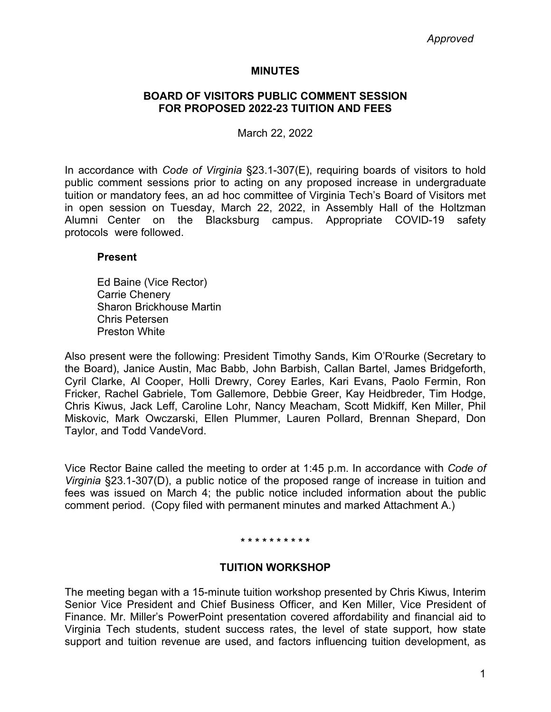# **MINUTES**

# **BOARD OF VISITORS PUBLIC COMMENT SESSION FOR PROPOSED 2022-23 TUITION AND FEES**

March 22, 2022

In accordance with *Code of Virginia* §23.1-307(E), requiring boards of visitors to hold public comment sessions prior to acting on any proposed increase in undergraduate tuition or mandatory fees, an ad hoc committee of Virginia Tech's Board of Visitors met in open session on Tuesday, March 22, 2022, in Assembly Hall of the Holtzman Alumni Center on the Blacksburg campus. Appropriate COVID-19 safety protocols were followed.

# **Present**

Ed Baine (Vice Rector) Carrie Chenery Sharon Brickhouse Martin Chris Petersen Preston White

Also present were the following: President Timothy Sands, Kim O'Rourke (Secretary to the Board), Janice Austin, Mac Babb, John Barbish, Callan Bartel, James Bridgeforth, Cyril Clarke, Al Cooper, Holli Drewry, Corey Earles, Kari Evans, Paolo Fermin, Ron Fricker, Rachel Gabriele, Tom Gallemore, Debbie Greer, Kay Heidbreder, Tim Hodge, Chris Kiwus, Jack Leff, Caroline Lohr, Nancy Meacham, Scott Midkiff, Ken Miller, Phil Miskovic, Mark Owczarski, Ellen Plummer, Lauren Pollard, Brennan Shepard, Don Taylor, and Todd VandeVord.

Vice Rector Baine called the meeting to order at 1:45 p.m. In accordance with *Code of Virginia* §23.1-307(D), a public notice of the proposed range of increase in tuition and fees was issued on March 4; the public notice included information about the public comment period. (Copy filed with permanent minutes and marked Attachment A.)

## **\* \* \* \* \* \* \* \* \* \***

# **TUITION WORKSHOP**

The meeting began with a 15-minute tuition workshop presented by Chris Kiwus, Interim Senior Vice President and Chief Business Officer, and Ken Miller, Vice President of Finance. Mr. Miller's PowerPoint presentation covered affordability and financial aid to Virginia Tech students, student success rates, the level of state support, how state support and tuition revenue are used, and factors influencing tuition development, as